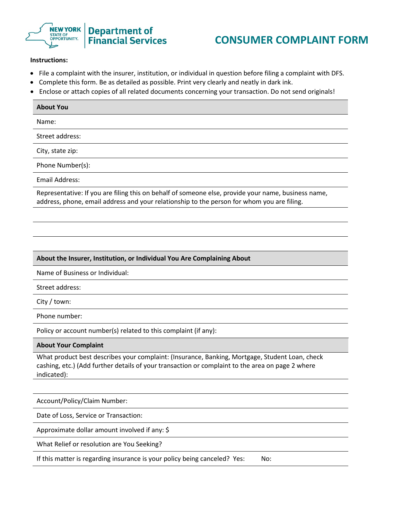

## **CONSUMER COMPLAINT FORM**

## **Instructions:**

- File a complaint with the insurer, institution, or individual in question before filing a complaint with DFS.
- Complete this form. Be as detailed as possible. Print very clearly and neatly in dark ink.
- Enclose or attach copies of all related documents concerning your transaction. Do not send originals!

| <b>About You</b>                                                                                    |
|-----------------------------------------------------------------------------------------------------|
| Name:                                                                                               |
| Street address:                                                                                     |
| City, state zip:                                                                                    |
| Phone Number(s):                                                                                    |
| Email Address:                                                                                      |
| Representative: If you are filing this on behalf of someone else, provide your name, business name, |

address, phone, email address and your relationship to the person for whom you are filing.

## **About the Insurer, Institution, or Individual You Are Complaining About**

Name of Business or Individual:

Street address:

City / town:

Phone number:

Policy or account number(s) related to this complaint (if any):

**About Your Complaint**

What product best describes your complaint: (Insurance, Banking, Mortgage, Student Loan, check cashing, etc.) (Add further details of your transaction or complaint to the area on page 2 where indicated):

Account/Policy/Claim Number:

Date of Loss, Service or Transaction:

Approximate dollar amount involved if any: \$

What Relief or resolution are You Seeking?

If this matter is regarding insurance is your policy being canceled? Yes: No: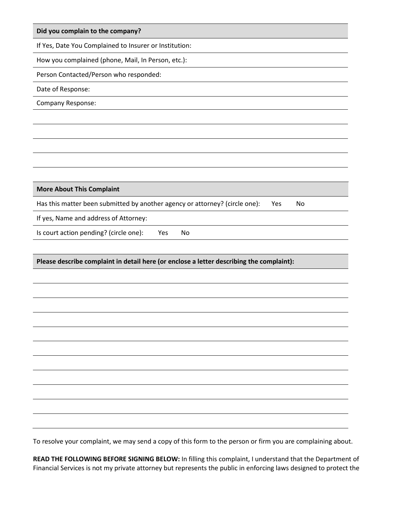| Did you complain to the company?                                                                            |
|-------------------------------------------------------------------------------------------------------------|
| If Yes, Date You Complained to Insurer or Institution:                                                      |
| How you complained (phone, Mail, In Person, etc.):                                                          |
| Person Contacted/Person who responded:                                                                      |
| Date of Response:                                                                                           |
| Company Response:                                                                                           |
|                                                                                                             |
|                                                                                                             |
|                                                                                                             |
|                                                                                                             |
|                                                                                                             |
| <b>More About This Complaint</b>                                                                            |
| Has this matter been submitted by another agency or attorney? (circle one):<br>Yes<br>No                    |
| If yes, Name and address of Attorney:                                                                       |
| Is court action pending? (circle one):<br>Yes<br>No                                                         |
|                                                                                                             |
| Please describe complaint in detail here (or enclose a letter describing the complaint):                    |
|                                                                                                             |
|                                                                                                             |
|                                                                                                             |
|                                                                                                             |
|                                                                                                             |
|                                                                                                             |
|                                                                                                             |
|                                                                                                             |
|                                                                                                             |
|                                                                                                             |
|                                                                                                             |
| To resolve your complaint, we may send a copy of this form to the person or firm you are complaining about. |

**READ THE FOLLOWING BEFORE SIGNING BELOW:** In filling this complaint, I understand that the Department of Financial Services is not my private attorney but represents the public in enforcing laws designed to protect the